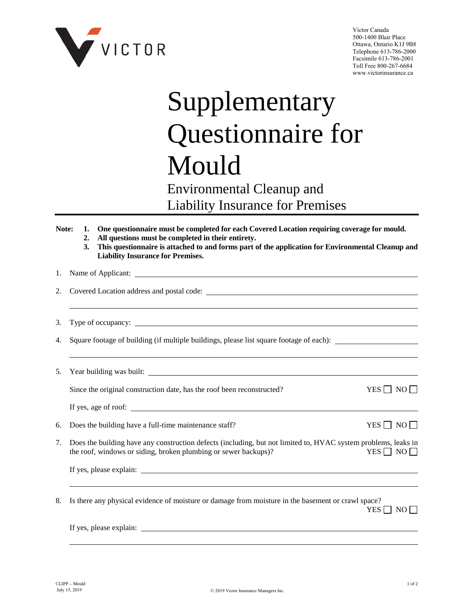

Victor Canada 500-1400 Blair Place Ottawa, Ontario K1J 9B8 Telephone 613-786-2000 Facsimile 613-786-2001 Toll Free 800-267-6684 www.victorinsurance.ca

## Supplementary Questionnaire for Mould

## Environmental Cleanup and Liability Insurance for Premises

| Note: | 1.<br>2.<br>3. | One questionnaire must be completed for each Covered Location requiring coverage for mould.<br>All questions must be completed in their entirety.<br>This questionnaire is attached to and forms part of the application for Environmental Cleanup and<br><b>Liability Insurance for Premises.</b> |                      |  |
|-------|----------------|----------------------------------------------------------------------------------------------------------------------------------------------------------------------------------------------------------------------------------------------------------------------------------------------------|----------------------|--|
| 1.    |                |                                                                                                                                                                                                                                                                                                    |                      |  |
| 2.    |                |                                                                                                                                                                                                                                                                                                    |                      |  |
| 3.    |                |                                                                                                                                                                                                                                                                                                    |                      |  |
| 4.    |                | Square footage of building (if multiple buildings, please list square footage of each):                                                                                                                                                                                                            |                      |  |
| 5.    |                |                                                                                                                                                                                                                                                                                                    |                      |  |
|       |                | Since the original construction date, has the roof been reconstructed?                                                                                                                                                                                                                             | YES $\Box$ NO $\Box$ |  |
|       |                | If yes, age of roof:                                                                                                                                                                                                                                                                               |                      |  |
| 6.    |                | Does the building have a full-time maintenance staff?                                                                                                                                                                                                                                              | YES $\Box$ NO $\Box$ |  |
| 7.    |                | Does the building have any construction defects (including, but not limited to, HVAC system problems, leaks in<br>the roof, windows or siding, broken plumbing or sewer backups)?                                                                                                                  | $YES \Box NO \Box$   |  |
|       |                |                                                                                                                                                                                                                                                                                                    |                      |  |
| 8.    |                | Is there any physical evidence of moisture or damage from moisture in the basement or crawl space?                                                                                                                                                                                                 | YES $\Box$ NO $\Box$ |  |
|       |                | If yes, please explain:                                                                                                                                                                                                                                                                            |                      |  |